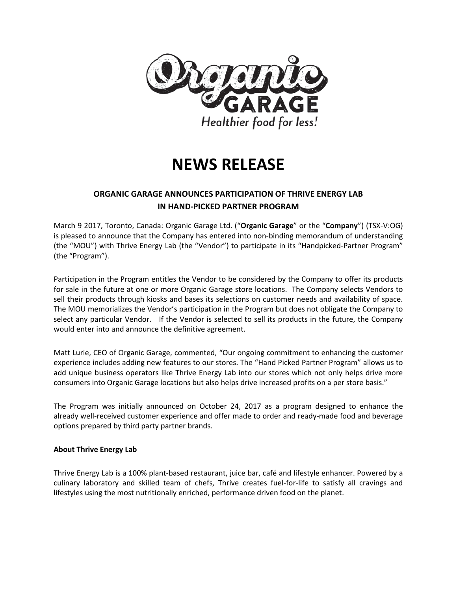

# **NEWS RELEASE**

# **ORGANIC GARAGE ANNOUNCES PARTICIPATION OF THRIVE ENERGY LAB IN HAND-PICKED PARTNER PROGRAM**

March 9 2017, Toronto, Canada: Organic Garage Ltd. ("**Organic Garage**" or the "**Company**") (TSX-V:OG) is pleased to announce that the Company has entered into non-binding memorandum of understanding (the "MOU") with Thrive Energy Lab (the "Vendor") to participate in its "Handpicked-Partner Program" (the "Program").

Participation in the Program entitles the Vendor to be considered by the Company to offer its products for sale in the future at one or more Organic Garage store locations. The Company selects Vendors to sell their products through kiosks and bases its selections on customer needs and availability of space. The MOU memorializes the Vendor's participation in the Program but does not obligate the Company to select any particular Vendor. If the Vendor is selected to sell its products in the future, the Company would enter into and announce the definitive agreement.

Matt Lurie, CEO of Organic Garage, commented, "Our ongoing commitment to enhancing the customer experience includes adding new features to our stores. The "Hand Picked Partner Program" allows us to add unique business operators like Thrive Energy Lab into our stores which not only helps drive more consumers into Organic Garage locations but also helps drive increased profits on a per store basis."

The Program was initially announced on October 24, 2017 as a program designed to enhance the already well-received customer experience and offer made to order and ready-made food and beverage options prepared by third party partner brands.

### **About Thrive Energy Lab**

Thrive Energy Lab is a 100% plant-based restaurant, juice bar, café and lifestyle enhancer. Powered by a culinary laboratory and skilled team of chefs, Thrive creates fuel-for-life to satisfy all cravings and lifestyles using the most nutritionally enriched, performance driven food on the planet.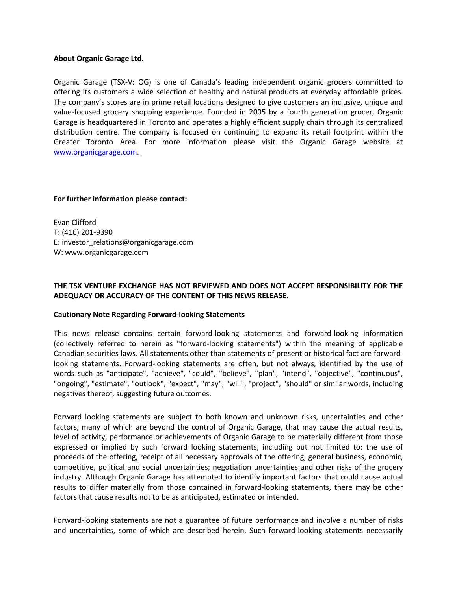#### **About Organic Garage Ltd.**

Organic Garage (TSX-V: OG) is one of Canada's leading independent organic grocers committed to offering its customers a wide selection of healthy and natural products at everyday affordable prices. The company's stores are in prime retail locations designed to give customers an inclusive, unique and value-focused grocery shopping experience. Founded in 2005 by a fourth generation grocer, Organic Garage is headquartered in Toronto and operates a highly efficient supply chain through its centralized distribution centre. The company is focused on continuing to expand its retail footprint within the Greater Toronto Area. For more information please visit the Organic Garage website at [www.organicgarage.com.](http://www.organicgarage.com/)

#### **For further information please contact:**

Evan Clifford T: (416) 201-9390 E: investor\_relations@organicgarage.com W: www.organicgarage.com

## **THE TSX VENTURE EXCHANGE HAS NOT REVIEWED AND DOES NOT ACCEPT RESPONSIBILITY FOR THE ADEQUACY OR ACCURACY OF THE CONTENT OF THIS NEWS RELEASE.**

#### **Cautionary Note Regarding Forward-looking Statements**

This news release contains certain forward-looking statements and forward-looking information (collectively referred to herein as "forward-looking statements") within the meaning of applicable Canadian securities laws. All statements other than statements of present or historical fact are forwardlooking statements. Forward-looking statements are often, but not always, identified by the use of words such as "anticipate", "achieve", "could", "believe", "plan", "intend", "objective", "continuous", "ongoing", "estimate", "outlook", "expect", "may", "will", "project", "should" or similar words, including negatives thereof, suggesting future outcomes.

Forward looking statements are subject to both known and unknown risks, uncertainties and other factors, many of which are beyond the control of Organic Garage, that may cause the actual results, level of activity, performance or achievements of Organic Garage to be materially different from those expressed or implied by such forward looking statements, including but not limited to: the use of proceeds of the offering, receipt of all necessary approvals of the offering, general business, economic, competitive, political and social uncertainties; negotiation uncertainties and other risks of the grocery industry. Although Organic Garage has attempted to identify important factors that could cause actual results to differ materially from those contained in forward-looking statements, there may be other factors that cause results not to be as anticipated, estimated or intended.

Forward-looking statements are not a guarantee of future performance and involve a number of risks and uncertainties, some of which are described herein. Such forward-looking statements necessarily